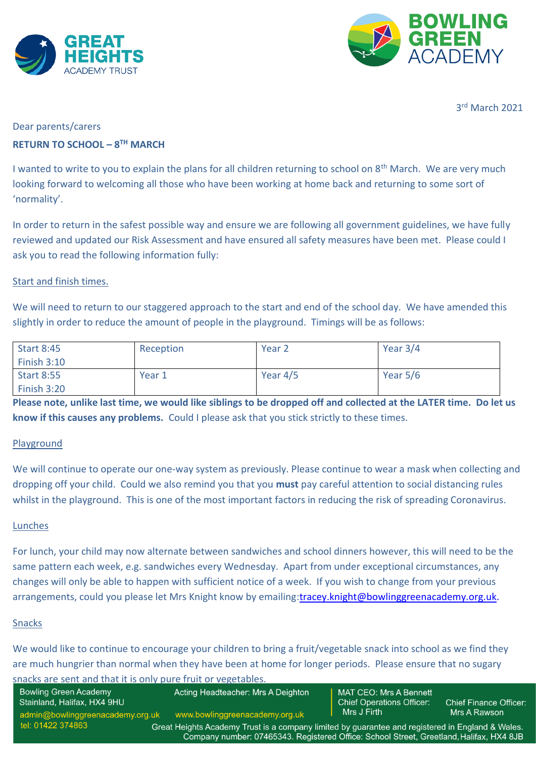



3 rd March 2021

### Dear parents/carers

# **RETURN TO SCHOOL – 8 TH MARCH**

I wanted to write to you to explain the plans for all children returning to school on 8<sup>th</sup> March. We are very much looking forward to welcoming all those who have been working at home back and returning to some sort of 'normality'.

In order to return in the safest possible way and ensure we are following all government guidelines, we have fully reviewed and updated our Risk Assessment and have ensured all safety measures have been met. Please could I ask you to read the following information fully:

## Start and finish times.

We will need to return to our staggered approach to the start and end of the school day. We have amended this slightly in order to reduce the amount of people in the playground. Timings will be as follows:

| <b>Start 8:45</b>  | Reception | Year <sub>2</sub> | Year $3/4$ |
|--------------------|-----------|-------------------|------------|
| <b>Finish 3:10</b> |           |                   |            |
| <b>Start 8:55</b>  | Year 1    | Year $4/5$        | Year $5/6$ |
| Finish 3:20        |           |                   |            |

**Please note, unlike last time, we would like siblings to be dropped off and collected at the LATER time. Do let us know if this causes any problems.** Could I please ask that you stick strictly to these times.

#### Playground

We will continue to operate our one-way system as previously. Please continue to wear a mask when collecting and dropping off your child. Could we also remind you that you **must** pay careful attention to social distancing rules whilst in the playground. This is one of the most important factors in reducing the risk of spreading Coronavirus.

#### Lunches

For lunch, your child may now alternate between sandwiches and school dinners however, this will need to be the same pattern each week, e.g. sandwiches every Wednesday. Apart from under exceptional circumstances, any changes will only be able to happen with sufficient notice of a week. If you wish to change from your previous arrangements, could you please let Mrs Knight know by emailing[:tracey.knight@bowlinggreenacademy.org.uk.](mailto:tracey.knight@bowlinggreenacademy.org.uk)

### Snacks

We would like to continue to encourage your children to bring a fruit/vegetable snack into school as we find they are much hungrier than normal when they have been at home for longer periods. Please ensure that no sugary

| snacks are sent and that it is only pure fruit or vegetables. |                                                                                                                                                                                            |                                                                   |                               |
|---------------------------------------------------------------|--------------------------------------------------------------------------------------------------------------------------------------------------------------------------------------------|-------------------------------------------------------------------|-------------------------------|
| <b>Bowling Green Academy</b><br>Stainland, Halifax, HX4 9HU   | Acting Headteacher: Mrs A Deighton                                                                                                                                                         | <b>MAT CEO: Mrs A Bennett</b><br><b>Chief Operations Officer:</b> | <b>Chief Finance Officer:</b> |
| admin@bowlinggreenacademy.org.uk                              | www.bowlinggreenacademy.org.uk                                                                                                                                                             | Mrs J Firth                                                       | Mrs A Rawson                  |
| tel: 01422 374863                                             | Great Heights Academy Trust is a company limited by guarantee and registered in England & Wales.<br>Company number: 07465343 Registered Office: School Street, Creetland Holifay, HY4.8 IR |                                                                   |                               |